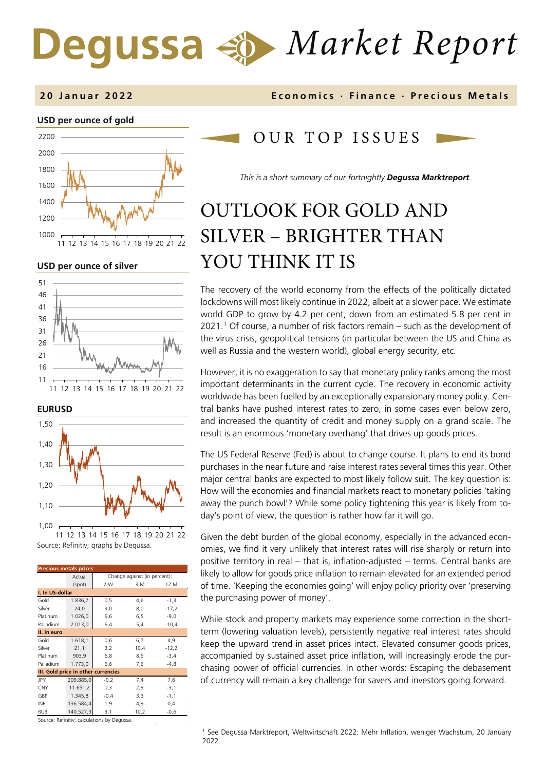# *Market Report* Degussa

### **USD per ounce of gold**  1000 1200 1400 1600 1800 2000 2200 11 12 13 14 15 16 17 18 19 20 21 22

**USD per ounce of silver** 







Source: Refinitiv; graphs by Degussa. 11 12 13 14 15 16 17 18 19 20 21 22

| <b>Precious metals prices</b>       |           |                              |      |         |  |  |  |  |
|-------------------------------------|-----------|------------------------------|------|---------|--|--|--|--|
|                                     | Actual    | Change against (in percent): |      |         |  |  |  |  |
|                                     | (spot)    | 2 W                          | 3 M  | 12 M    |  |  |  |  |
| I. In US-dollar                     |           |                              |      |         |  |  |  |  |
| Gold                                | 1.836,7   | 0, 5                         | 4,6  | $-1,3$  |  |  |  |  |
| Silver                              | 24,0      | 3,0                          | 8,0  | $-17,2$ |  |  |  |  |
| Platinum                            | 1.026,0   | 6,6                          | 6,5  | $-9,0$  |  |  |  |  |
| Palladium                           | 2.013,0   | 6,4                          | 5,4  | $-10,4$ |  |  |  |  |
| II. In euro                         |           |                              |      |         |  |  |  |  |
| Gold                                | 1.618,1   | 0,6                          | 6,7  | 4,9     |  |  |  |  |
| Silver                              | 21,1      | 3,2                          | 10,4 | $-12,2$ |  |  |  |  |
| Platinum                            | 903,9     | 6,8                          | 8,6  | $-3,4$  |  |  |  |  |
| Palladium                           | 1.773,0   | 6,6                          | 7,6  | $-4,8$  |  |  |  |  |
| III. Gold price in other currencies |           |                              |      |         |  |  |  |  |
| JPY                                 | 209.885,0 | $-0,2$                       | 7,4  | 7,6     |  |  |  |  |
| CNY                                 | 11.651,2  | 0,3                          | 2,9  | $-3,1$  |  |  |  |  |
| GBP                                 | 1.345,8   | $-0,4$                       | 3,3  | $-1,1$  |  |  |  |  |
| <b>INR</b>                          | 136.584,4 | 1,9                          | 4,9  | 0,4     |  |  |  |  |
| <b>RUB</b>                          | 140.527,3 | 3,1                          | 10,2 | $-0,6$  |  |  |  |  |

<span id="page-0-0"></span>Source: Refinitiv; calculations by Degussa.

#### **20 Januar 202 2 Economics · Finance · Precious Metals**

## OUR TOP ISSUE S

*This is a short summary of our fortnightly Degussa Marktreport.*

# OUTLOOK FOR GOLD AND SILVER – BRIGHTER THAN YOU THINK IT IS

The recovery of the world economy from the effects of the politically dictated lockdowns will most likely continue in 2022, albeit at a slower pace. We estimate world GDP to grow by 4.2 per cent, down from an estimated 5.8 per cent in 2021.[1](#page-0-0) Of course, a number of risk factors remain – such as the development of the virus crisis, geopolitical tensions (in particular between the US and China as well as Russia and the western world), global energy security, etc.

However, it is no exaggeration to say that monetary policy ranks among the most important determinants in the current cycle. The recovery in economic activity worldwide has been fuelled by an exceptionally expansionary money policy. Central banks have pushed interest rates to zero, in some cases even below zero, and increased the quantity of credit and money supply on a grand scale. The result is an enormous 'monetary overhang' that drives up goods prices.

The US Federal Reserve (Fed) is about to change course. It plans to end its bond purchases in the near future and raise interest rates several times this year. Other major central banks are expected to most likely follow suit. The key question is: How will the economies and financial markets react to monetary policies 'taking away the punch bowl'? While some policy tightening this year is likely from today's point of view, the question is rather how far it will go.

Given the debt burden of the global economy, especially in the advanced economies, we find it very unlikely that interest rates will rise sharply or return into positive territory in real – that is, inflation-adjusted – terms. Central banks are likely to allow for goods price inflation to remain elevated for an extended period of time. 'Keeping the economies going' will enjoy policy priority over 'preserving the purchasing power of money'.

While stock and property markets may experience some correction in the shortterm (lowering valuation levels), persistently negative real interest rates should keep the upward trend in asset prices intact. Elevated consumer goods prices, accompanied by sustained asset price inflation, will increasingly erode the purchasing power of official currencies. In other words: Escaping the debasement of currency will remain a key challenge for savers and investors going forward.

<sup>1</sup> See Degussa Marktreport, Weltwirtschaft 2022: Mehr Inflation, weniger Wachstum, 20 January 2022.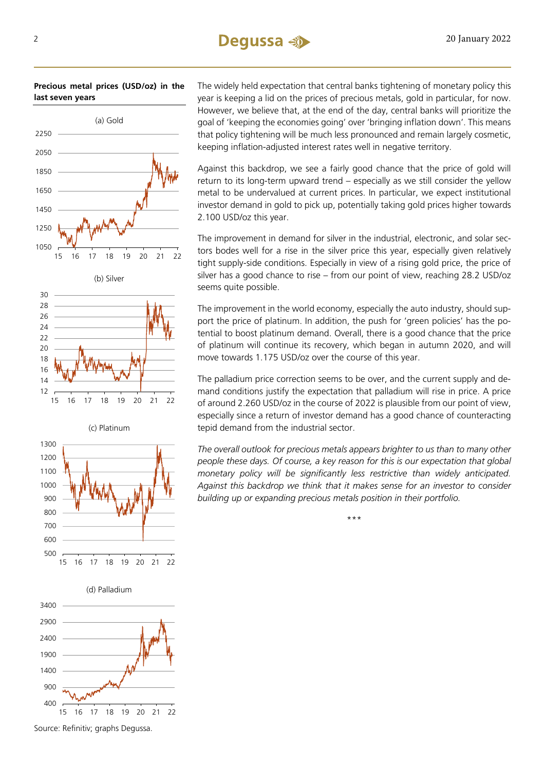**Precious metal prices (USD/oz) in the last seven years**



(c) Platinum

15 16 17 18 19 20 21 22

12  $14$ 16

The widely held expectation that central banks tightening of monetary policy this year is keeping a lid on the prices of precious metals, gold in particular, for now. However, we believe that, at the end of the day, central banks will prioritize the goal of 'keeping the economies going' over 'bringing inflation down'. This means that policy tightening will be much less pronounced and remain largely cosmetic, keeping inflation-adjusted interest rates well in negative territory.

Against this backdrop, we see a fairly good chance that the price of gold will return to its long-term upward trend – especially as we still consider the yellow metal to be undervalued at current prices. In particular, we expect institutional investor demand in gold to pick up, potentially taking gold prices higher towards 2.100 USD/oz this year.

The improvement in demand for silver in the industrial, electronic, and solar sectors bodes well for a rise in the silver price this year, especially given relatively tight supply-side conditions. Especially in view of a rising gold price, the price of silver has a good chance to rise – from our point of view, reaching 28.2 USD/oz seems quite possible.

The improvement in the world economy, especially the auto industry, should support the price of platinum. In addition, the push for 'green policies' has the potential to boost platinum demand. Overall, there is a good chance that the price of platinum will continue its recovery, which began in autumn 2020, and will move towards 1.175 USD/oz over the course of this year.

The palladium price correction seems to be over, and the current supply and demand conditions justify the expectation that palladium will rise in price. A price of around 2.260 USD/oz in the course of 2022 is plausible from our point of view, especially since a return of investor demand has a good chance of counteracting tepid demand from the industrial sector.

*The overall outlook for precious metals appears brighter to us than to many other people these days. Of course, a key reason for this is our expectation that global monetary policy will be significantly less restrictive than widely anticipated. Against this backdrop we think that it makes sense for an investor to consider building up or expanding precious metals position in their portfolio.* 

\*\*\*



15 16 17 18 19 20 21 22

Source: Refinitiv; graphs Degussa.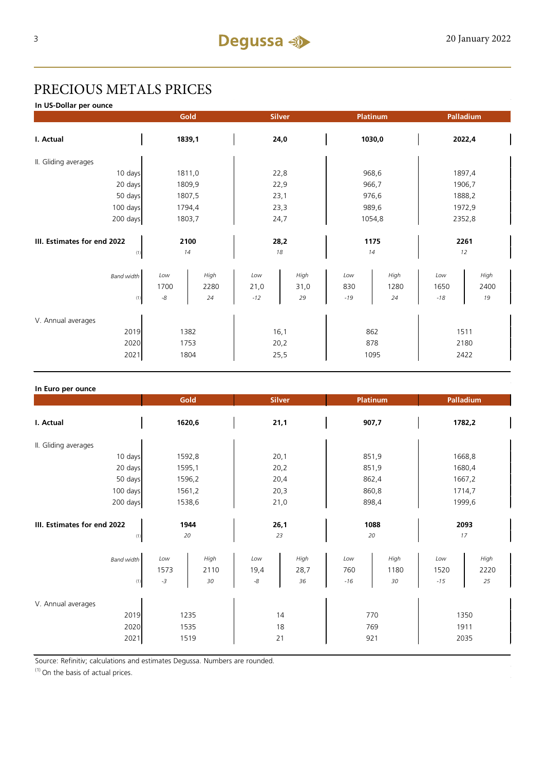# PRECIOUS METALS PRICES

**In US-Dollar per ounce**

|                             |                            | Gold               |                      | Platinum<br><b>Silver</b> |                     | Palladium          |                      |                    |  |
|-----------------------------|----------------------------|--------------------|----------------------|---------------------------|---------------------|--------------------|----------------------|--------------------|--|
| I. Actual                   | 1839,1                     |                    | 24,0                 |                           | 1030,0              |                    | 2022,4               |                    |  |
| II. Gliding averages        |                            |                    |                      |                           |                     |                    |                      |                    |  |
| 10 days                     |                            | 1811,0             |                      | 22,8                      |                     | 968,6              |                      | 1897,4             |  |
| 20 days                     |                            | 1809,9             | 22,9                 |                           | 966,7               |                    | 1906,7               |                    |  |
| 50 days                     |                            | 1807,5             | 23,1                 |                           | 976,6               |                    | 1888,2               |                    |  |
| 100 days                    |                            | 1794,4             | 23,3                 |                           | 989,6               |                    | 1972,9               |                    |  |
| 200 days                    | 1803,7                     |                    | 24,7                 |                           | 1054,8              |                    | 2352,8               |                    |  |
|                             |                            |                    |                      |                           |                     |                    |                      |                    |  |
| III. Estimates for end 2022 |                            | 2100               | 28,2                 |                           | 1175                |                    | 2261                 |                    |  |
| (1)                         |                            | 14                 |                      | 18                        | 14                  |                    |                      | 12                 |  |
| <b>Band width</b><br>(1)    | Low<br>1700<br>$\text{-}8$ | High<br>2280<br>24 | Low<br>21,0<br>$-12$ | High<br>31,0<br>29        | Low<br>830<br>$-19$ | High<br>1280<br>24 | Low<br>1650<br>$-18$ | High<br>2400<br>19 |  |
|                             |                            |                    |                      |                           |                     |                    |                      |                    |  |
| V. Annual averages          |                            |                    |                      |                           |                     |                    |                      |                    |  |
| 2019                        | 1382                       |                    | 16,1                 |                           | 862                 |                    | 1511                 |                    |  |
| 2020                        |                            | 1753               | 20,2                 |                           | 878                 |                    | 2180                 |                    |  |
| 2021                        | 1804                       |                    | 25,5                 |                           | 1095                |                    | 2422                 |                    |  |

| In Euro per ounce                                |                      |                    |                            |                    |                     |                    |                      |                    |  |
|--------------------------------------------------|----------------------|--------------------|----------------------------|--------------------|---------------------|--------------------|----------------------|--------------------|--|
|                                                  | Gold                 |                    | <b>Silver</b>              |                    |                     | Platinum           | Palladium            |                    |  |
| I. Actual                                        | 1620,6               |                    | 21,1                       |                    |                     | 907,7              | 1782,2               |                    |  |
| II. Gliding averages                             |                      |                    |                            |                    |                     |                    |                      |                    |  |
| 10 days                                          |                      | 1592,8             | 20,1                       |                    |                     | 851,9              | 1668,8               |                    |  |
| 20 days                                          |                      | 1595,1             | 20,2                       |                    |                     | 851,9              | 1680,4               |                    |  |
| 50 days                                          |                      | 1596,2             |                            | 20,4               |                     | 862,4              | 1667,2               |                    |  |
| 100 days                                         |                      | 1561,2             | 20,3                       |                    |                     | 860,8              | 1714,7               |                    |  |
| 200 days                                         | 1538,6               |                    | 21,0                       |                    |                     | 898,4              | 1999,6               |                    |  |
| III. Estimates for end 2022<br>1944<br>20<br>(1) |                      | 26,1<br>23         |                            | 1088<br>20         |                     | 2093<br>17         |                      |                    |  |
| <b>Band width</b><br>(1)                         | Low<br>1573<br>$-3$  | High<br>2110<br>30 | Low<br>19,4<br>$\text{-}8$ | High<br>28,7<br>36 | Low<br>760<br>$-16$ | High<br>1180<br>30 | Low<br>1520<br>$-15$ | High<br>2220<br>25 |  |
| V. Annual averages<br>2019<br>2020<br>2021       | 1235<br>1535<br>1519 |                    | 14<br>18<br>21             |                    |                     | 770<br>769<br>921  | 1350<br>1911<br>2035 |                    |  |

Source: Refinitiv; calculations and estimates Degussa. Numbers are rounded.

 $(1)$  On the basis of actual prices.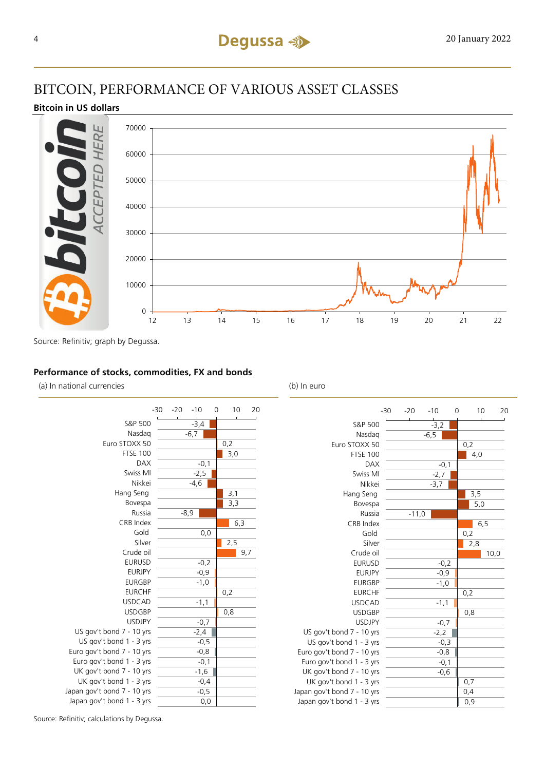# BITCOIN, PERFORMANCE OF VARIOUS ASSET CLASSES

### **Bitcoin in US dollars**



Source: Refinitiv; graph by Degussa.

#### **Performance of stocks, commodities, FX and bonds**

(a) In national currencies (b) In euro

|                             | $-30$ | $-20$  | $-10$  | 0 | 10  |     | 20 |
|-----------------------------|-------|--------|--------|---|-----|-----|----|
| S&P 500                     |       |        | $-3,4$ |   |     |     |    |
| Nasdag                      |       |        | $-6,7$ |   |     |     |    |
| Euro STOXX 50               |       |        |        |   | 0,2 |     |    |
| <b>FTSE 100</b>             |       |        |        |   | 3,0 |     |    |
| <b>DAX</b>                  |       |        | $-0,1$ |   |     |     |    |
| Swiss MI                    |       |        | $-2,5$ |   |     |     |    |
| Nikkei                      |       |        | $-4,6$ |   |     |     |    |
| Hang Seng                   |       |        |        |   | 3,1 |     |    |
| Bovespa                     |       |        |        |   | 3,3 |     |    |
| Russia                      |       | $-8,9$ |        |   |     |     |    |
| CRB Index                   |       |        |        |   |     | 6,3 |    |
| Gold                        |       |        | 0,0    |   |     |     |    |
| Silver                      |       |        |        |   | 2,5 |     |    |
| Crude oil                   |       |        |        |   |     | 9,7 |    |
| <b>EURUSD</b>               |       |        | $-0,2$ |   |     |     |    |
| <b>EURJPY</b>               |       |        | $-0,9$ |   |     |     |    |
| <b>EURGBP</b>               |       |        | $-1,0$ |   |     |     |    |
| <b>EURCHF</b>               |       |        |        |   | 0,2 |     |    |
| <b>USDCAD</b>               |       |        | $-1,1$ |   |     |     |    |
| <b>USDGBP</b>               |       |        |        |   | 0,8 |     |    |
| <b>USDJPY</b>               |       |        | $-0,7$ |   |     |     |    |
| US gov't bond 7 - 10 yrs    |       |        | $-2,4$ |   |     |     |    |
| US gov't bond 1 - 3 yrs     |       |        | $-0,5$ |   |     |     |    |
| Euro gov't bond 7 - 10 yrs  |       |        | $-0,8$ |   |     |     |    |
| Euro gov't bond 1 - 3 yrs   |       |        | $-0,1$ |   |     |     |    |
| UK gov't bond 7 - 10 yrs    |       |        | $-1,6$ |   |     |     |    |
| UK gov't bond 1 - 3 yrs     |       |        | $-0,4$ |   |     |     |    |
| Japan gov't bond 7 - 10 yrs |       |        | $-0,5$ |   |     |     |    |
| Japan gov't bond 1 - 3 yrs  |       |        | 0,0    |   |     |     |    |

|                             | $-30$ | $-20$   |        | $-10$  | 0 |     | 10   | 20 |
|-----------------------------|-------|---------|--------|--------|---|-----|------|----|
| S&P 500                     |       |         |        | $-3,2$ |   |     |      |    |
| Nasdag                      |       |         | $-6,5$ |        |   |     |      |    |
| Euro STOXX 50               |       |         |        |        |   | 0,2 |      |    |
| <b>FTSE 100</b>             |       |         |        |        |   | 4,0 |      |    |
| <b>DAX</b>                  |       |         |        | $-0,1$ |   |     |      |    |
| Swiss MI                    |       |         |        | $-2,7$ |   |     |      |    |
| Nikkei                      |       |         |        | $-3,7$ |   |     |      |    |
| Hang Seng                   |       |         |        |        |   | 3,5 |      |    |
| Bovespa                     |       |         |        |        |   |     | 5,0  |    |
| Russia                      |       | $-11,0$ |        |        |   |     |      |    |
| CRB Index                   |       |         |        |        |   |     | 6,5  |    |
| Gold                        |       |         |        |        |   | 0,2 |      |    |
| Silver                      |       |         |        |        |   | 2,8 |      |    |
| Crude oil                   |       |         |        |        |   |     | 10,0 |    |
| <b>EURUSD</b>               |       |         |        | $-0,2$ |   |     |      |    |
| <b>EURJPY</b>               |       |         |        | $-0,9$ |   |     |      |    |
| <b>EURGBP</b>               |       |         |        | $-1,0$ |   |     |      |    |
| <b>EURCHF</b>               |       |         |        |        |   | 0,2 |      |    |
| <b>USDCAD</b>               |       |         |        | $-1,1$ |   |     |      |    |
| <b>USDGBP</b>               |       |         |        |        |   | 0,8 |      |    |
| <b>USDJPY</b>               |       |         |        | $-0,7$ |   |     |      |    |
| US gov't bond 7 - 10 yrs    |       |         |        | $-2,2$ |   |     |      |    |
| US gov't bond 1 - 3 yrs     |       |         |        | $-0,3$ |   |     |      |    |
| Euro gov't bond 7 - 10 yrs  |       |         |        | $-0,8$ |   |     |      |    |
| Euro gov't bond 1 - 3 yrs   |       |         |        | $-0,1$ |   |     |      |    |
| UK gov't bond 7 - 10 yrs    |       |         |        | $-0,6$ |   |     |      |    |
| UK gov't bond 1 - 3 yrs     |       |         |        |        |   | 0,7 |      |    |
| Japan gov't bond 7 - 10 yrs |       |         |        |        |   | 0,4 |      |    |
| Japan gov't bond 1 - 3 yrs  |       |         |        |        |   | 0,9 |      |    |

Source: Refinitiv; calculations by Degussa.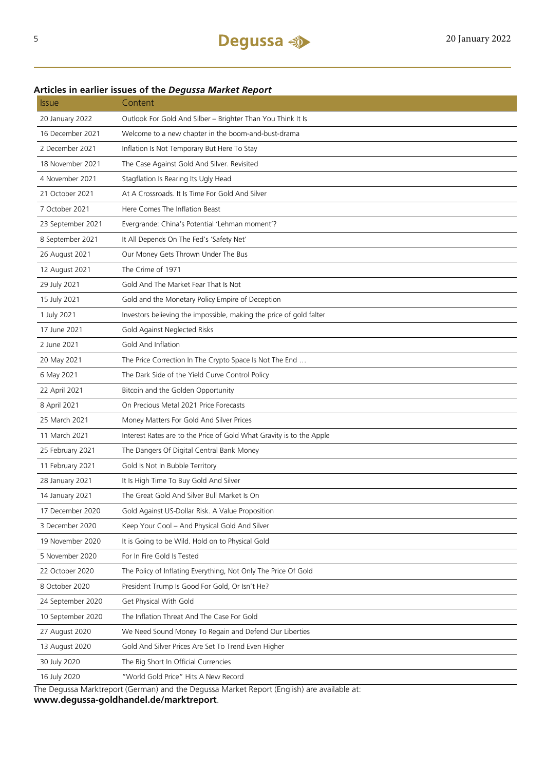#### **Articles in earlier issues of the** *Degussa Market Report*

| <i><u><b>Issue</b></u></i> | Content                                                                                    |
|----------------------------|--------------------------------------------------------------------------------------------|
| 20 January 2022            | Outlook For Gold And Silber - Brighter Than You Think It Is                                |
| 16 December 2021           | Welcome to a new chapter in the boom-and-bust-drama                                        |
| 2 December 2021            | Inflation Is Not Temporary But Here To Stay                                                |
| 18 November 2021           | The Case Against Gold And Silver. Revisited                                                |
| 4 November 2021            | Stagflation Is Rearing Its Ugly Head                                                       |
| 21 October 2021            | At A Crossroads. It Is Time For Gold And Silver                                            |
| 7 October 2021             | Here Comes The Inflation Beast                                                             |
| 23 September 2021          | Evergrande: China's Potential 'Lehman moment'?                                             |
| 8 September 2021           | It All Depends On The Fed's 'Safety Net'                                                   |
| 26 August 2021             | Our Money Gets Thrown Under The Bus                                                        |
| 12 August 2021             | The Crime of 1971                                                                          |
| 29 July 2021               | Gold And The Market Fear That Is Not                                                       |
| 15 July 2021               | Gold and the Monetary Policy Empire of Deception                                           |
| 1 July 2021                | Investors believing the impossible, making the price of gold falter                        |
| 17 June 2021               | Gold Against Neglected Risks                                                               |
| 2 June 2021                | Gold And Inflation                                                                         |
| 20 May 2021                | The Price Correction In The Crypto Space Is Not The End                                    |
| 6 May 2021                 | The Dark Side of the Yield Curve Control Policy                                            |
| 22 April 2021              | Bitcoin and the Golden Opportunity                                                         |
| 8 April 2021               | On Precious Metal 2021 Price Forecasts                                                     |
| 25 March 2021              | Money Matters For Gold And Silver Prices                                                   |
| 11 March 2021              | Interest Rates are to the Price of Gold What Gravity is to the Apple                       |
| 25 February 2021           | The Dangers Of Digital Central Bank Money                                                  |
| 11 February 2021           | Gold Is Not In Bubble Territory                                                            |
| 28 January 2021            | It Is High Time To Buy Gold And Silver                                                     |
| 14 January 2021            | The Great Gold And Silver Bull Market Is On                                                |
| 17 December 2020           | Gold Against US-Dollar Risk. A Value Proposition                                           |
| 3 December 2020            | Keep Your Cool - And Physical Gold And Silver                                              |
| 19 November 2020           | It is Going to be Wild. Hold on to Physical Gold                                           |
| 5 November 2020            | For In Fire Gold Is Tested                                                                 |
| 22 October 2020            | The Policy of Inflating Everything, Not Only The Price Of Gold                             |
| 8 October 2020             | President Trump Is Good For Gold, Or Isn't He?                                             |
| 24 September 2020          | Get Physical With Gold                                                                     |
| 10 September 2020          | The Inflation Threat And The Case For Gold                                                 |
| 27 August 2020             | We Need Sound Money To Regain and Defend Our Liberties                                     |
| 13 August 2020             | Gold And Silver Prices Are Set To Trend Even Higher                                        |
| 30 July 2020               | The Big Short In Official Currencies                                                       |
| 16 July 2020               | "World Gold Price" Hits A New Record                                                       |
|                            | The Dequesa Marktroport (German) and the Dequesa Market Report (English) are available at: |

The Degussa Marktreport (German) and the Degussa Market Report (English) are available at:

**www.degussa-goldhandel.de/marktreport**.